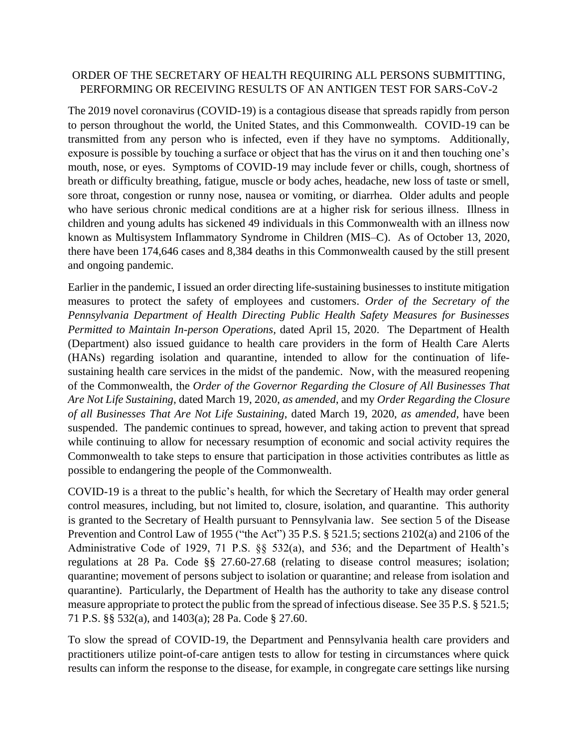## ORDER OF THE SECRETARY OF HEALTH REQUIRING ALL PERSONS SUBMITTING, PERFORMING OR RECEIVING RESULTS OF AN ANTIGEN TEST FOR SARS-CoV-2

The 2019 novel coronavirus (COVID-19) is a contagious disease that spreads rapidly from person to person throughout the world, the United States, and this Commonwealth. COVID-19 can be transmitted from any person who is infected, even if they have no symptoms. Additionally, exposure is possible by touching a surface or object that has the virus on it and then touching one's mouth, nose, or eyes. Symptoms of COVID-19 may include fever or chills, cough, shortness of breath or difficulty breathing, fatigue, muscle or body aches, headache, new loss of taste or smell, sore throat, congestion or runny nose, nausea or vomiting, or diarrhea. Older adults and people who have serious chronic medical conditions are at a higher risk for serious illness. Illness in children and young adults has sickened 49 individuals in this Commonwealth with an illness now known as Multisystem Inflammatory Syndrome in Children (MIS–C). As of October 13, 2020, there have been 174,646 cases and 8,384 deaths in this Commonwealth caused by the still present and ongoing pandemic.

Earlier in the pandemic, I issued an order directing life-sustaining businesses to institute mitigation measures to protect the safety of employees and customers. *Order of the Secretary of the Pennsylvania Department of Health Directing Public Health Safety Measures for Businesses Permitted to Maintain In-person Operations,* dated April 15, 2020. The Department of Health (Department) also issued guidance to health care providers in the form of Health Care Alerts (HANs) regarding isolation and quarantine, intended to allow for the continuation of lifesustaining health care services in the midst of the pandemic. Now, with the measured reopening of the Commonwealth, the *Order of the Governor Regarding the Closure of All Businesses That Are Not Life Sustaining*, dated March 19, 2020, *as amended*, and my *Order Regarding the Closure of all Businesses That Are Not Life Sustaining*, dated March 19, 2020, *as amended*, have been suspended. The pandemic continues to spread, however, and taking action to prevent that spread while continuing to allow for necessary resumption of economic and social activity requires the Commonwealth to take steps to ensure that participation in those activities contributes as little as possible to endangering the people of the Commonwealth.

COVID-19 is a threat to the public's health, for which the Secretary of Health may order general control measures, including, but not limited to, closure, isolation, and quarantine. This authority is granted to the Secretary of Health pursuant to Pennsylvania law. See section 5 of the Disease Prevention and Control Law of 1955 ("the Act") 35 P.S. § 521.5; sections 2102(a) and 2106 of the Administrative Code of 1929, 71 P.S. §§ 532(a), and 536; and the Department of Health's regulations at 28 Pa. Code §§ 27.60-27.68 (relating to disease control measures; isolation; quarantine; movement of persons subject to isolation or quarantine; and release from isolation and quarantine). Particularly, the Department of Health has the authority to take any disease control measure appropriate to protect the public from the spread of infectious disease. See 35 P.S. § 521.5; 71 P.S. §§ 532(a), and 1403(a); 28 Pa. Code § 27.60.

To slow the spread of COVID-19, the Department and Pennsylvania health care providers and practitioners utilize point-of-care antigen tests to allow for testing in circumstances where quick results can inform the response to the disease, for example, in congregate care settings like nursing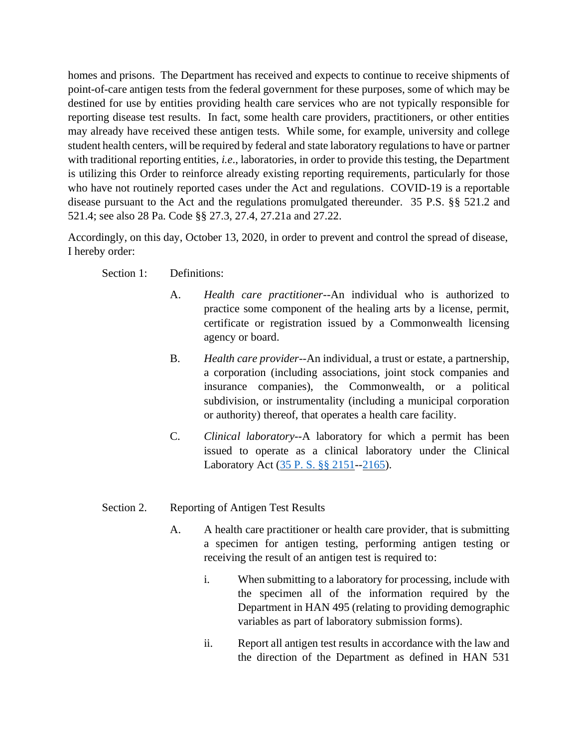homes and prisons. The Department has received and expects to continue to receive shipments of point-of-care antigen tests from the federal government for these purposes, some of which may be destined for use by entities providing health care services who are not typically responsible for reporting disease test results. In fact, some health care providers, practitioners, or other entities may already have received these antigen tests. While some, for example, university and college student health centers, will be required by federal and state laboratory regulations to have or partner with traditional reporting entities, *i.e*., laboratories, in order to provide this testing, the Department is utilizing this Order to reinforce already existing reporting requirements, particularly for those who have not routinely reported cases under the Act and regulations. COVID-19 is a reportable disease pursuant to the Act and the regulations promulgated thereunder. 35 P.S. §§ 521.2 and 521.4; see also 28 Pa. Code §§ 27.3, 27.4, 27.21a and 27.22.

Accordingly, on this day, October 13, 2020, in order to prevent and control the spread of disease, I hereby order:

Section 1: Definitions:

- A. *Health care practitioner*--An individual who is authorized to practice some component of the healing arts by a license, permit, certificate or registration issued by a Commonwealth licensing agency or board.
- B. *Health care provider*--An individual, a trust or estate, a partnership, a corporation (including associations, joint stock companies and insurance companies), the Commonwealth, or a political subdivision, or instrumentality (including a municipal corporation or authority) thereof, that operates a health care facility.
- C. *Clinical laboratory*--A laboratory for which a permit has been issued to operate as a clinical laboratory under the Clinical Laboratory Act [\(35 P. S. §§ 2151-](https://1.next.westlaw.com/Link/Document/FullText?findType=L&pubNum=1000262&cite=PS35S2151&originatingDoc=N18070A508E8611DE9819E4AEF12068F2&refType=LQ&originationContext=document&transitionType=DocumentItem&contextData=(sc.Category))[-2165\)](https://1.next.westlaw.com/Link/Document/FullText?findType=L&pubNum=1000262&cite=PS35S2165&originatingDoc=N18070A508E8611DE9819E4AEF12068F2&refType=LQ&originationContext=document&transitionType=DocumentItem&contextData=(sc.Category)).
- Section 2. Reporting of Antigen Test Results
	- A. A health care practitioner or health care provider, that is submitting a specimen for antigen testing, performing antigen testing or receiving the result of an antigen test is required to:
		- i. When submitting to a laboratory for processing, include with the specimen all of the information required by the Department in HAN 495 (relating to providing demographic variables as part of laboratory submission forms).
		- ii. Report all antigen test results in accordance with the law and the direction of the Department as defined in HAN 531